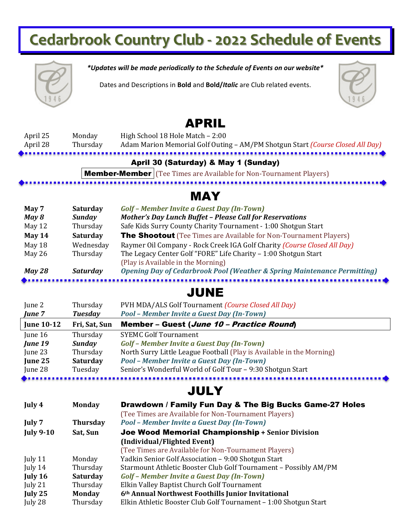# **Cedarbrook Country Club - 2022 Schedule of Events**



*\*Updates will be made periodically to the Schedule of Events on our website\**

Dates and Descriptions in **Bold** and **Bold/***Italic* are Club related events.



## APRIL

| April 25 | Monday   | High School 18 Hole Match - 2:00                                               |
|----------|----------|--------------------------------------------------------------------------------|
| April 28 | Thursday | Adam Marion Memorial Golf Outing - AM/PM Shotgun Start (Course Closed All Day) |
|          |          |                                                                                |

#### April 30 (Saturday) & May 1 (Sunday)

**Member-Member** (Tee Times are Available for Non-Tournament Players)

### MAY

| May 7         | <b>Saturday</b> | Golf - Member Invite a Guest Day (In-Town)                                          |
|---------------|-----------------|-------------------------------------------------------------------------------------|
| May 8         | <b>Sunday</b>   | <b>Mother's Day Lunch Buffet - Please Call for Reservations</b>                     |
| May 12        | Thursday        | Safe Kids Surry County Charity Tournament - 1:00 Shotgun Start                      |
| May 14        | <b>Saturday</b> | <b>The Shootout</b> (Tee Times are Available for Non-Tournament Players)            |
| May 18        | Wednesday       | Raymer Oil Company - Rock Creek IGA Golf Charity (Course Closed All Day)            |
| May $26$      | Thursday        | The Legacy Center Golf "FORE" Life Charity - 1:00 Shotgun Start                     |
|               |                 | (Play is Available in the Morning)                                                  |
| <b>May 28</b> | Saturday        | <b>Opening Day of Cedarbrook Pool (Weather &amp; Spring Maintenance Permitting)</b> |

### JUNE

| June 2            | Thursday        | PVH MDA/ALS Golf Tournament (Course Closed All Day)                   |
|-------------------|-----------------|-----------------------------------------------------------------------|
| June 7            | <b>Tuesday</b>  | Pool - Member Invite a Guest Day (In-Town)                            |
| <b>June 10-12</b> | Fri, Sat, Sun   | Member - Guest (June 10 - Practice Round)                             |
| June $16$         | Thursday        | <b>SYEMC Golf Tournament</b>                                          |
| June 19           | <b>Sunday</b>   | Golf - Member Invite a Guest Day (In-Town)                            |
| June 23           | Thursday        | North Surry Little League Football (Play is Available in the Morning) |
| June 25           | <b>Saturday</b> | Pool - Member Invite a Guest Day (In-Town)                            |
| June 28           | Tuesday         | Senior's Wonderful World of Golf Tour - 9:30 Shotgun Start            |
|                   |                 |                                                                       |

## **JULY**

| July 4           | <b>Monday</b>   | Drawdown / Family Fun Day & The Big Bucks Game-27 Holes          |
|------------------|-----------------|------------------------------------------------------------------|
|                  |                 | (Tee Times are Available for Non-Tournament Players)             |
| July 7           | <b>Thursday</b> | Pool - Member Invite a Guest Day (In-Town)                       |
| <b>July 9-10</b> | Sat, Sun        | Joe Wood Memorial Championship + Senior Division                 |
|                  |                 | (Individual/Flighted Event)                                      |
|                  |                 | (Tee Times are Available for Non-Tournament Players)             |
| July 11          | Monday          | Yadkin Senior Golf Association - 9:00 Shotgun Start              |
| July 14          | Thursday        | Starmount Athletic Booster Club Golf Tournament - Possibly AM/PM |
| July 16          | <b>Saturday</b> | Golf - Member Invite a Guest Day (In-Town)                       |
| July 21          | Thursday        | Elkin Valley Baptist Church Golf Tournament                      |
| July 25          | <b>Monday</b>   | 6th Annual Northwest Foothills Junior Invitational               |
| July 28          | Thursday        | Elkin Athletic Booster Club Golf Tournament - 1:00 Shotgun Start |